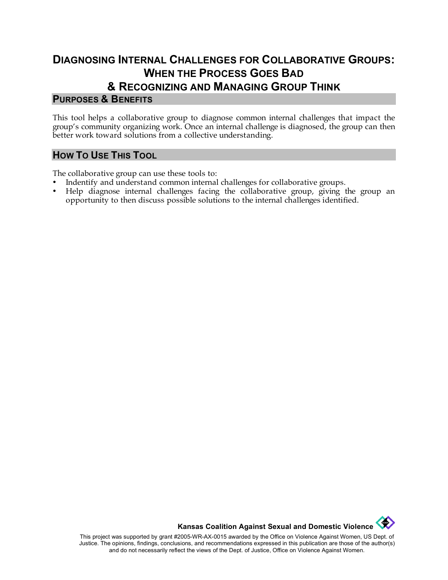## **DIAGNOSING INTERNAL CHALLENGES FOR COLLABORATIVE GROUPS: WHEN THE PROCESS GOES BAD & RECOGNIZING AND MANAGING GROUP THINK**

#### **PURPOSES & BENEFITS**

This tool helps a collaborative group to diagnose common internal challenges that impact the group's community organizing work. Once an internal challenge is diagnosed, the group can then better work toward solutions from a collective understanding.

### **HOW TO USE THIS TOOL**

The collaborative group can use these tools to:

- Indentify and understand common internal challenges for collaborative groups.
- Help diagnose internal challenges facing the collaborative group, giving the group an opportunity to then discuss possible solutions to the internal challenges identified.

**Kansas Coalition Against Sexual and Domestic Violence** 

This project was supported by grant #2005-WR-AX-0015 awarded by the Office on Violence Against Women, US Dept. of Justice. The opinions, findings, conclusions, and recommendations expressed in this publication are those of the author(s) and do not necessarily reflect the views of the Dept. of Justice, Office on Violence Against Women.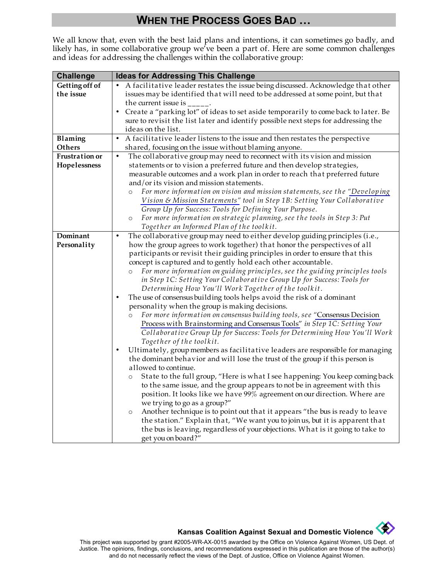# **WHEN THE PROCESS GOES BAD …**

We all know that, even with the best laid plans and intentions, it can sometimes go badly, and likely has, in some collaborative group we've been a part of. Here are some common challenges and ideas for addressing the challenges within the collaborative group:

| <b>Challenge</b> | <b>Ideas for Addressing This Challenge</b>                                                |
|------------------|-------------------------------------------------------------------------------------------|
| Getting off of   | • A facilitative leader restates the issue being discussed. Acknowledge that other        |
| the issue        | issues may be identified that will need to be addressed at some point, but that           |
|                  | the current issue is _                                                                    |
|                  | • Create a "parking lot" of ideas to set aside temporarily to come back to later. Be      |
|                  | sure to revisit the list later and identify possible next steps for addressing the        |
|                  | ideas on the list.                                                                        |
| Blaming          | A facilitative leader listens to the issue and then restates the perspective<br>$\bullet$ |
| Others           | shared, focusing on the issue without blaming anyone.                                     |
| Frustration or   | The collaborative group may need to reconnect with its vision and mission<br>$\bullet$    |
| Hopelessness     | statements or to vision a preferred future and then develop strategies,                   |
|                  | measurable outcomes and a work plan in order to reach that preferred future               |
|                  | and/or its vision and mission statements.                                                 |
|                  | For more information on vision and mission statements, see the "Developing<br>$\circ$     |
|                  | Vision & Mission Statements" tool in Step 1B: Setting Your Collaborative                  |
|                  | Group Up for Success: Tools for Defining Your Purpose.                                    |
|                  | For more information on strategic planning, see the tools in Step 3: Put<br>$\circ$       |
|                  | Together an Informed Plan of the toolkit.                                                 |
| Dominant         | The collaborative group may need to either develop guiding principles (i.e.,<br>$\bullet$ |
| Personality      | how the group agrees to work together) that honor the perspectives of all                 |
|                  | participants or revisit their guiding principles in order to ensure that this             |
|                  | concept is captured and to gently hold each other accountable.                            |
|                  | For more information on guiding principles, see the guiding principles tools<br>$\circ$   |
|                  | in Step 1C: Setting Your Collaborative Group Up for Success: Tools for                    |
|                  | Determining How You'll Work Together of the toolkit.                                      |
|                  | The use of consensus building tools helps avoid the risk of a dominant                    |
|                  | personality when the group is making decisions.                                           |
|                  | For more information on consensus building tools, see "Consensus Decision                 |
|                  | Process with Brainstorming and Consensus Tools" in Step 1C: Setting Your                  |
|                  | Collaborative Group Up for Success: Tools for Determining How You'll Work                 |
|                  | Together of the toolkit.                                                                  |
|                  | Ultimately, group members as facilitative leaders are responsible for managing            |
|                  | the dominant behavior and will lose the trust of the group if this person is              |
|                  | allowed to continue.                                                                      |
|                  | State to the full group, "Here is what I see happening: You keep coming back<br>$\circ$   |
|                  | to the same issue, and the group appears to not be in agreement with this                 |
|                  | position. It looks like we have 99% agreement on our direction. Where are                 |
|                  | we trying to go as a group?"                                                              |
|                  | Another technique is to point out that it appears "the bus is ready to leave<br>$\circ$   |
|                  | the station." Explain that, "We want you to join us, but it is apparent that              |
|                  | the bus is leaving, regardless of your objections. What is it going to take to            |
|                  | get you on board?"                                                                        |



# **Kansas Coalition Against Sexual and Domestic Violence**

This project was supported by grant #2005-WR-AX-0015 awarded by the Office on Violence Against Women, US Dept. of Justice. The opinions, findings, conclusions, and recommendations expressed in this publication are those of the author(s) and do not necessarily reflect the views of the Dept. of Justice, Office on Violence Against Women.